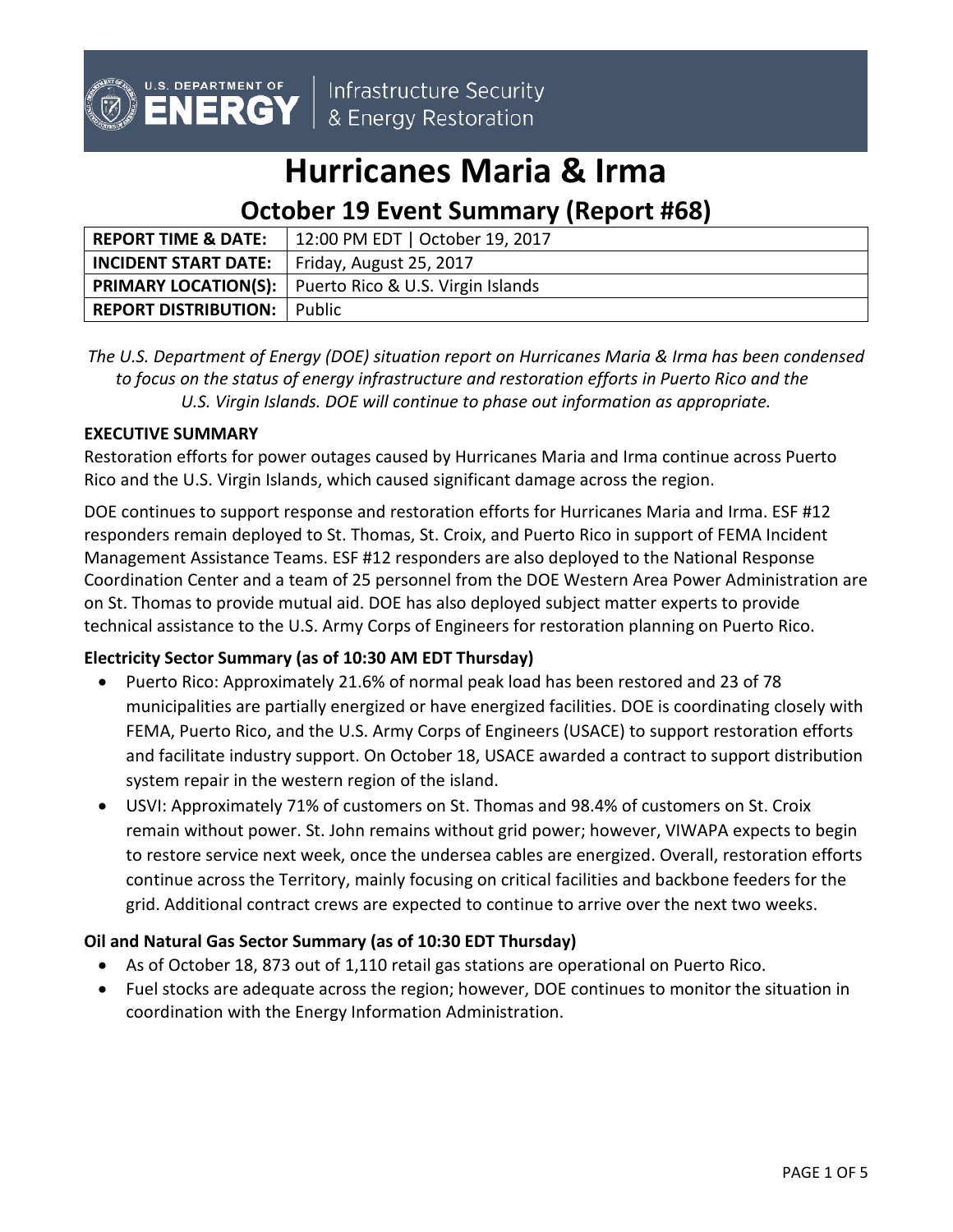

Infrastructure Security & Energy Restoration

# **Hurricanes Maria & Irma**

# **October 19 Event Summary (Report #68)**

| <b>REPORT TIME &amp; DATE:</b>                        | 12:00 PM EDT   October 19, 2017                          |
|-------------------------------------------------------|----------------------------------------------------------|
| <b>INCIDENT START DATE:</b>   Friday, August 25, 2017 |                                                          |
|                                                       | PRIMARY LOCATION(S):   Puerto Rico & U.S. Virgin Islands |
| <b>REPORT DISTRIBUTION:</b> Public                    |                                                          |

*The U.S. Department of Energy (DOE) situation report on Hurricanes Maria & Irma has been condensed to focus on the status of energy infrastructure and restoration efforts in Puerto Rico and the U.S. Virgin Islands. DOE will continue to phase out information as appropriate.*

### **EXECUTIVE SUMMARY**

Restoration efforts for power outages caused by Hurricanes Maria and Irma continue across Puerto Rico and the U.S. Virgin Islands, which caused significant damage across the region.

DOE continues to support response and restoration efforts for Hurricanes Maria and Irma. ESF #12 responders remain deployed to St. Thomas, St. Croix, and Puerto Rico in support of FEMA Incident Management Assistance Teams. ESF #12 responders are also deployed to the National Response Coordination Center and a team of 25 personnel from the DOE Western Area Power Administration are on St. Thomas to provide mutual aid. DOE has also deployed subject matter experts to provide technical assistance to the U.S. Army Corps of Engineers for restoration planning on Puerto Rico.

# **Electricity Sector Summary (as of 10:30 AM EDT Thursday)**

- Puerto Rico: Approximately 21.6% of normal peak load has been restored and 23 of 78 municipalities are partially energized or have energized facilities. DOE is coordinating closely with FEMA, Puerto Rico, and the U.S. Army Corps of Engineers (USACE) to support restoration efforts and facilitate industry support. On October 18, USACE awarded a contract to support distribution system repair in the western region of the island.
- USVI: Approximately 71% of customers on St. Thomas and 98.4% of customers on St. Croix remain without power. St. John remains without grid power; however, VIWAPA expects to begin to restore service next week, once the undersea cables are energized. Overall, restoration efforts continue across the Territory, mainly focusing on critical facilities and backbone feeders for the grid. Additional contract crews are expected to continue to arrive over the next two weeks.

# **Oil and Natural Gas Sector Summary (as of 10:30 EDT Thursday)**

- As of October 18, 873 out of 1,110 retail gas stations are operational on Puerto Rico.
- Fuel stocks are adequate across the region; however, DOE continues to monitor the situation in coordination with the Energy Information Administration.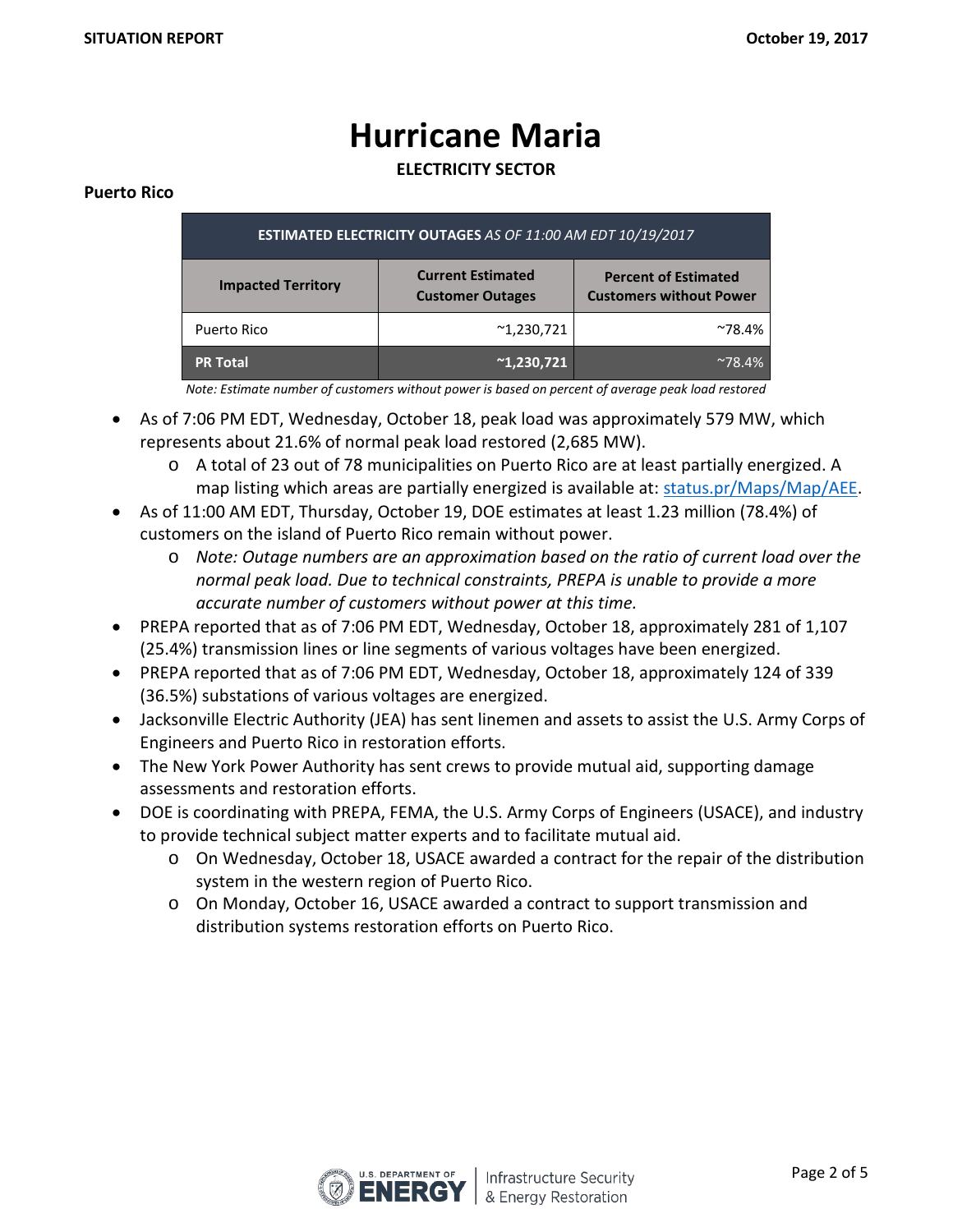# **Hurricane Maria**

**ELECTRICITY SECTOR**

#### **Puerto Rico**

| <b>ESTIMATED ELECTRICITY OUTAGES AS OF 11:00 AM EDT 10/19/2017</b> |                                                     |                                                               |  |  |  |
|--------------------------------------------------------------------|-----------------------------------------------------|---------------------------------------------------------------|--|--|--|
| <b>Impacted Territory</b>                                          | <b>Current Estimated</b><br><b>Customer Outages</b> | <b>Percent of Estimated</b><br><b>Customers without Power</b> |  |  |  |
| Puerto Rico                                                        | $^{\sim}1,230,721$                                  | $^{\sim}78.4\%$                                               |  |  |  |
| <b>PR Total</b>                                                    | $^{\sim}1,230,721$                                  | $^{\sim}78.4\%$                                               |  |  |  |

*Note: Estimate number of customers without power is based on percent of average peak load restored*

- As of 7:06 PM EDT, Wednesday, October 18, peak load was approximately 579 MW, which represents about 21.6% of normal peak load restored (2,685 MW).
	- o A total of 23 out of 78 municipalities on Puerto Rico are at least partially energized. A map listing which areas are partially energized is available at: [status.pr/Maps/Map/AEE.](http://status.pr/Maps/Map/AEE)
- As of 11:00 AM EDT, Thursday, October 19, DOE estimates at least 1.23 million (78.4%) of customers on the island of Puerto Rico remain without power.
	- o *Note: Outage numbers are an approximation based on the ratio of current load over the normal peak load. Due to technical constraints, PREPA is unable to provide a more accurate number of customers without power at this time.*
- PREPA reported that as of 7:06 PM EDT, Wednesday, October 18, approximately 281 of 1,107 (25.4%) transmission lines or line segments of various voltages have been energized.
- PREPA reported that as of 7:06 PM EDT, Wednesday, October 18, approximately 124 of 339 (36.5%) substations of various voltages are energized.
- Jacksonville Electric Authority (JEA) has sent linemen and assets to assist the U.S. Army Corps of Engineers and Puerto Rico in restoration efforts.
- The New York Power Authority has sent crews to provide mutual aid, supporting damage assessments and restoration efforts.
- DOE is coordinating with PREPA, FEMA, the U.S. Army Corps of Engineers (USACE), and industry to provide technical subject matter experts and to facilitate mutual aid.
	- o On Wednesday, October 18, USACE awarded a contract for the repair of the distribution system in the western region of Puerto Rico.
	- o On Monday, October 16, USACE awarded a contract to support transmission and distribution systems restoration efforts on Puerto Rico.

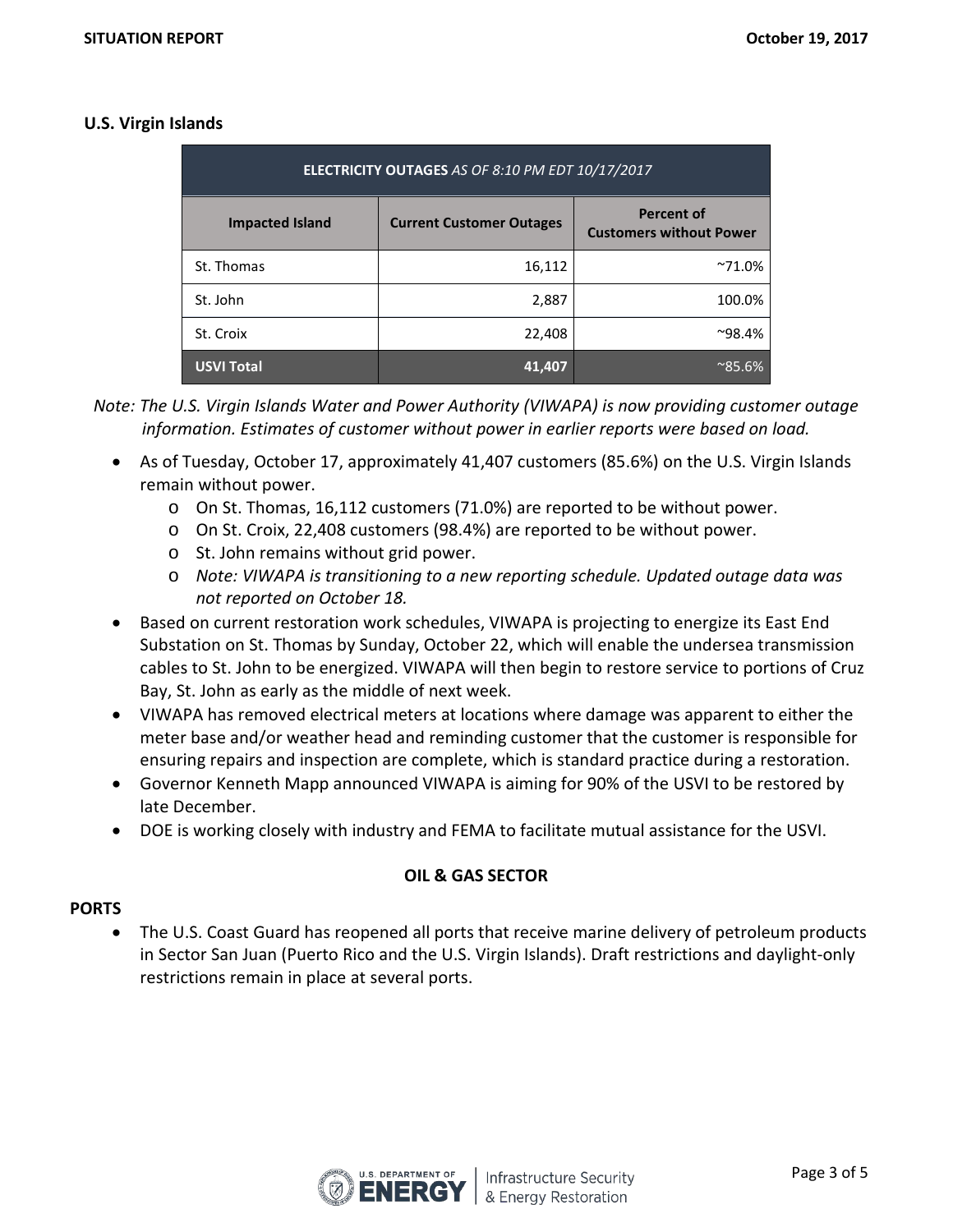#### **U.S. Virgin Islands**

| ELECTRICITY OUTAGES AS OF 8:10 PM EDT 10/17/2017 |                                 |                                                     |  |  |  |
|--------------------------------------------------|---------------------------------|-----------------------------------------------------|--|--|--|
| <b>Impacted Island</b>                           | <b>Current Customer Outages</b> | <b>Percent of</b><br><b>Customers without Power</b> |  |  |  |
| St. Thomas                                       | 16,112                          | $^{\sim}71.0\%$                                     |  |  |  |
| St. John                                         | 2,887                           | 100.0%                                              |  |  |  |
| St. Croix                                        | 22,408                          | $^{\sim}98.4\%$                                     |  |  |  |
| <b>USVI Total</b>                                | 41.407                          | $^{\sim}85.6\%$                                     |  |  |  |

*Note: The U.S. Virgin Islands Water and Power Authority (VIWAPA) is now providing customer outage information. Estimates of customer without power in earlier reports were based on load.*

- As of Tuesday, October 17, approximately 41,407 customers (85.6%) on the U.S. Virgin Islands remain without power.
	- o On St. Thomas, 16,112 customers (71.0%) are reported to be without power.
	- o On St. Croix, 22,408 customers (98.4%) are reported to be without power.
	- o St. John remains without grid power.
	- o *Note: VIWAPA is transitioning to a new reporting schedule. Updated outage data was not reported on October 18.*
- Based on current restoration work schedules, VIWAPA is projecting to energize its East End Substation on St. Thomas by Sunday, October 22, which will enable the undersea transmission cables to St. John to be energized. VIWAPA will then begin to restore service to portions of Cruz Bay, St. John as early as the middle of next week.
- VIWAPA has removed electrical meters at locations where damage was apparent to either the meter base and/or weather head and reminding customer that the customer is responsible for ensuring repairs and inspection are complete, which is standard practice during a restoration.
- Governor Kenneth Mapp announced VIWAPA is aiming for 90% of the USVI to be restored by late December.
- DOE is working closely with industry and FEMA to facilitate mutual assistance for the USVI.

# **OIL & GAS SECTOR**

#### **PORTS**

• The U.S. Coast Guard has reopened all ports that receive marine delivery of petroleum products in Sector San Juan (Puerto Rico and the U.S. Virgin Islands). Draft restrictions and daylight-only restrictions remain in place at several ports.

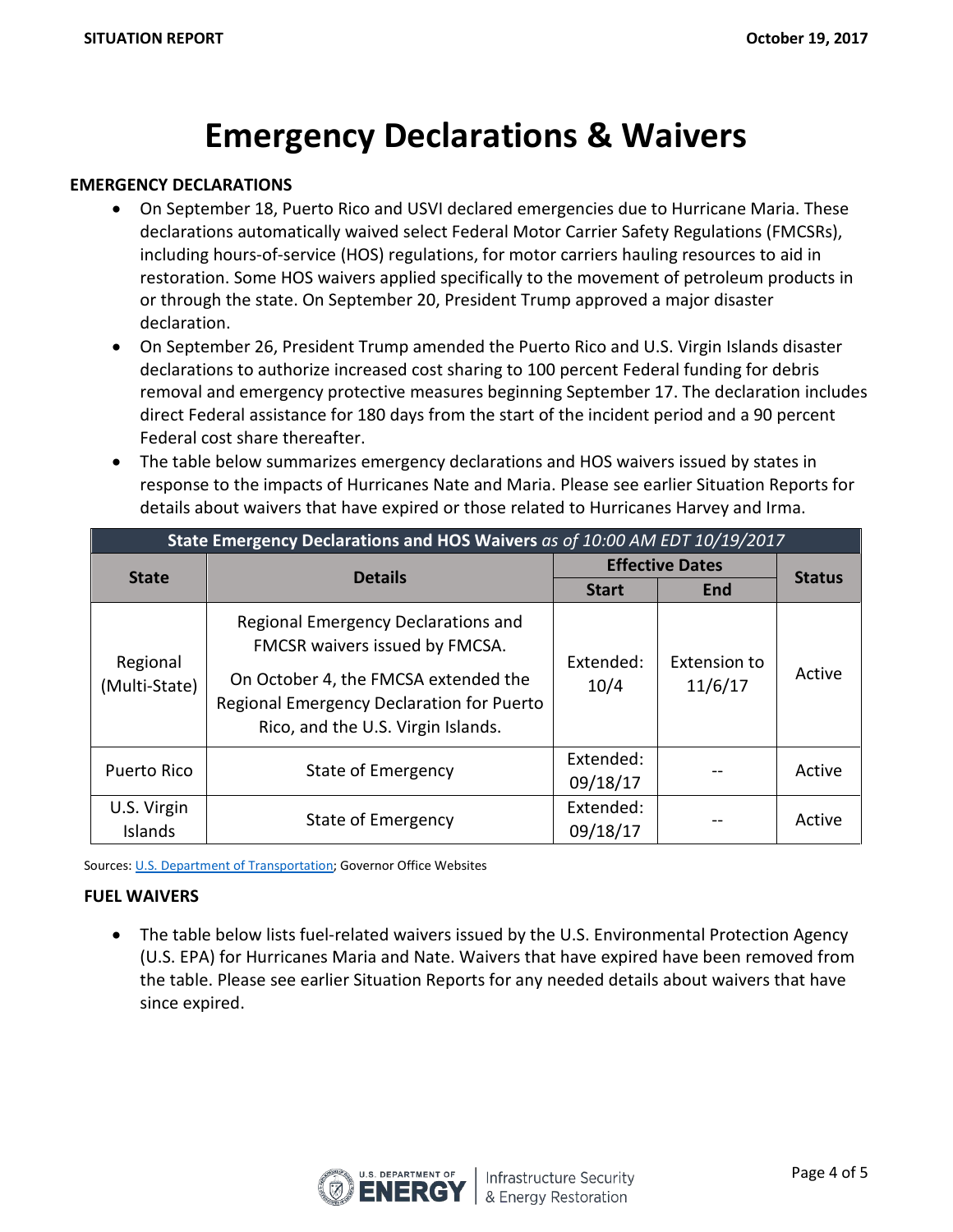# **Emergency Declarations & Waivers**

#### **EMERGENCY DECLARATIONS**

- On September 18, Puerto Rico and USVI declared emergencies due to Hurricane Maria. These declarations automatically waived select Federal Motor Carrier Safety Regulations (FMCSRs), including hours-of-service (HOS) regulations, for motor carriers hauling resources to aid in restoration. Some HOS waivers applied specifically to the movement of petroleum products in or through the state. On September 20, President Trump approved a major disaster declaration.
- On September 26, President Trump amended the Puerto Rico and U.S. Virgin Islands disaster declarations to authorize increased cost sharing to 100 percent Federal funding for debris removal and emergency protective measures beginning September 17. The declaration includes direct Federal assistance for 180 days from the start of the incident period and a 90 percent Federal cost share thereafter.
- The table below summarizes emergency declarations and HOS waivers issued by states in response to the impacts of Hurricanes Nate and Maria. Please see earlier Situation Reports for details about waivers that have expired or those related to Hurricanes Harvey and Irma.

| State Emergency Declarations and HOS Waivers as of 10:00 AM EDT 10/19/2017 |                                                                                                                         |                        |                         |               |  |
|----------------------------------------------------------------------------|-------------------------------------------------------------------------------------------------------------------------|------------------------|-------------------------|---------------|--|
| <b>State</b>                                                               | <b>Details</b>                                                                                                          | <b>Effective Dates</b> |                         | <b>Status</b> |  |
|                                                                            |                                                                                                                         | <b>Start</b>           | <b>End</b>              |               |  |
| Regional<br>(Multi-State)                                                  | Regional Emergency Declarations and<br>FMCSR waivers issued by FMCSA.                                                   | Extended:              | Extension to<br>11/6/17 | Active        |  |
|                                                                            | On October 4, the FMCSA extended the<br>Regional Emergency Declaration for Puerto<br>Rico, and the U.S. Virgin Islands. | 10/4                   |                         |               |  |
| Puerto Rico                                                                | State of Emergency                                                                                                      | Extended:<br>09/18/17  |                         | Active        |  |
| U.S. Virgin<br>Islands                                                     | State of Emergency                                                                                                      | Extended:<br>09/18/17  |                         | Active        |  |

Sources: [U.S. Department of Transportation;](http://www.fmcsa.dot.gov/emergency) Governor Office Websites

#### **FUEL WAIVERS**

• The table below lists fuel-related waivers issued by the U.S. Environmental Protection Agency (U.S. EPA) for Hurricanes Maria and Nate. Waivers that have expired have been removed from the table. Please see earlier Situation Reports for any needed details about waivers that have since expired.